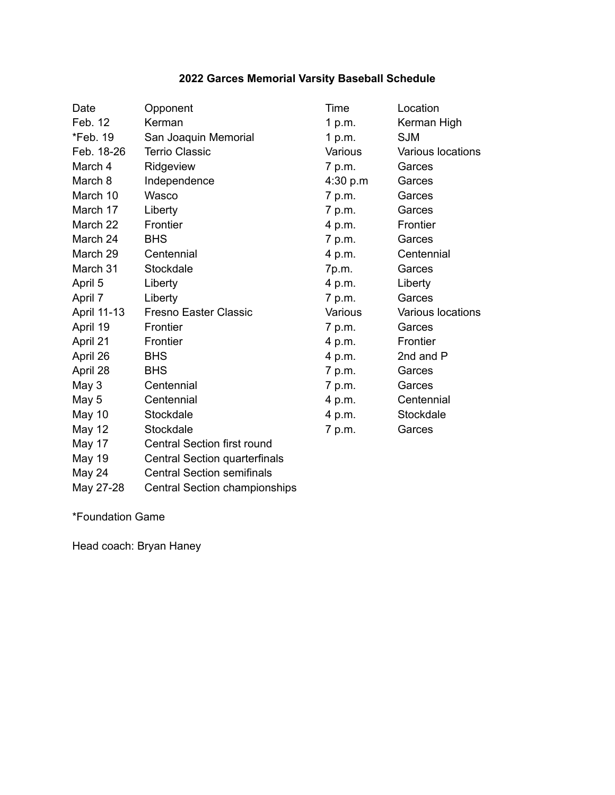## **2022 Garces Memorial Varsity Baseball Schedule**

| Date          | Opponent                             | Time     | Location          |
|---------------|--------------------------------------|----------|-------------------|
| Feb. 12       | Kerman                               | 1 p.m.   | Kerman High       |
| *Feb. 19      | San Joaquin Memorial                 | 1 $p.m.$ | <b>SJM</b>        |
| Feb. 18-26    | <b>Terrio Classic</b>                | Various  | Various locations |
| March 4       | Ridgeview                            | 7 p.m.   | Garces            |
| March 8       | Independence                         | 4:30 p.m | Garces            |
| March 10      | Wasco                                | 7 p.m.   | Garces            |
| March 17      | Liberty                              | 7 p.m.   | Garces            |
| March 22      | Frontier                             | 4 p.m.   | Frontier          |
| March 24      | <b>BHS</b>                           | 7 p.m.   | Garces            |
| March 29      | Centennial                           | 4 p.m.   | Centennial        |
| March 31      | Stockdale                            | 7p.m.    | Garces            |
| April 5       | Liberty                              | 4 p.m.   | Liberty           |
| April 7       | Liberty                              | 7 p.m.   | Garces            |
| April 11-13   | <b>Fresno Easter Classic</b>         | Various  | Various locations |
| April 19      | Frontier                             | 7 p.m.   | Garces            |
| April 21      | Frontier                             | 4 p.m.   | Frontier          |
| April 26      | <b>BHS</b>                           | 4 p.m.   | 2nd and P         |
| April 28      | <b>BHS</b>                           | 7 p.m.   | Garces            |
| May 3         | Centennial                           | 7 p.m.   | Garces            |
| May 5         | Centennial                           | 4 p.m.   | Centennial        |
| <b>May 10</b> | Stockdale                            | 4 p.m.   | Stockdale         |
| <b>May 12</b> | Stockdale                            | 7 p.m.   | Garces            |
| May 17        | <b>Central Section first round</b>   |          |                   |
| May 19        | <b>Central Section quarterfinals</b> |          |                   |
| May 24        | <b>Central Section semifinals</b>    |          |                   |

May 27-28 Central Section championships

\*Foundation Game

Head coach: Bryan Haney